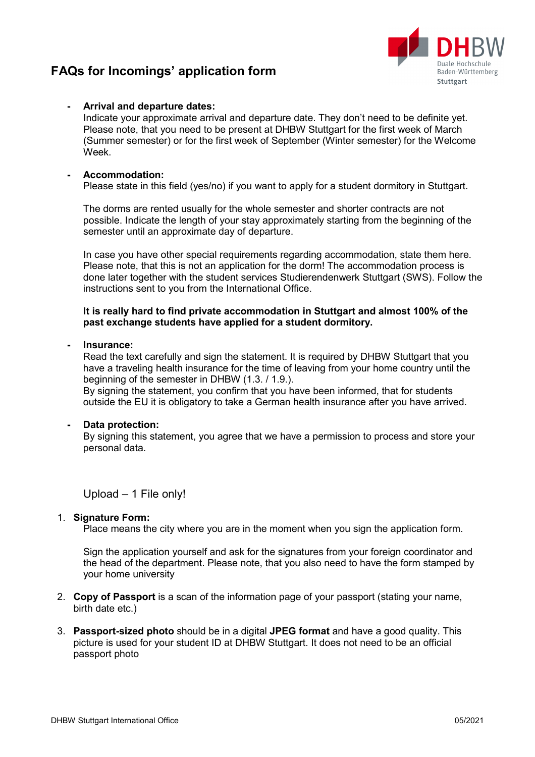# **FAQs for Incomings' application form**



## **- Arrival and departure dates:**

Indicate your approximate arrival and departure date. They don't need to be definite yet. Please note, that you need to be present at DHBW Stuttgart for the first week of March (Summer semester) or for the first week of September (Winter semester) for the Welcome Week.

### **- Accommodation:**

Please state in this field (yes/no) if you want to apply for a student dormitory in Stuttgart.

The dorms are rented usually for the whole semester and shorter contracts are not possible. Indicate the length of your stay approximately starting from the beginning of the semester until an approximate day of departure.

In case you have other special requirements regarding accommodation, state them here. Please note, that this is not an application for the dorm! The accommodation process is done later together with the student services Studierendenwerk Stuttgart (SWS). Follow the instructions sent to you from the International Office.

**It is really hard to find private accommodation in Stuttgart and almost 100% of the past exchange students have applied for a student dormitory.**

#### **- Insurance:**

Read the text carefully and sign the statement. It is required by DHBW Stuttgart that you have a traveling health insurance for the time of leaving from your home country until the beginning of the semester in DHBW (1.3. / 1.9.).

By signing the statement, you confirm that you have been informed, that for students outside the EU it is obligatory to take a German health insurance after you have arrived.

#### **- Data protection:**

By signing this statement, you agree that we have a permission to process and store your personal data.

Upload – 1 File only!

#### 1. **Signature Form:**

Place means the city where you are in the moment when you sign the application form.

Sign the application yourself and ask for the signatures from your foreign coordinator and the head of the department. Please note, that you also need to have the form stamped by your home university

- 2. **Copy of Passport** is a scan of the information page of your passport (stating your name, birth date etc.)
- 3. **Passport-sized photo** should be in a digital **JPEG format** and have a good quality. This picture is used for your student ID at DHBW Stuttgart. It does not need to be an official passport photo